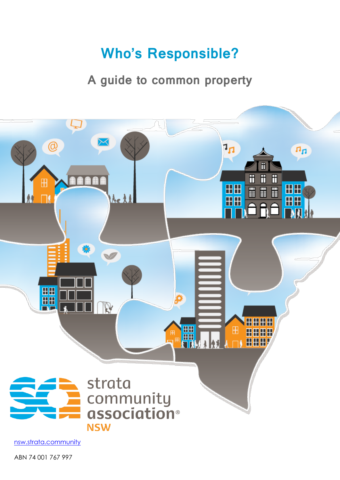# **Who's Responsible?**

## **A guide to common property**



nsw.strata.community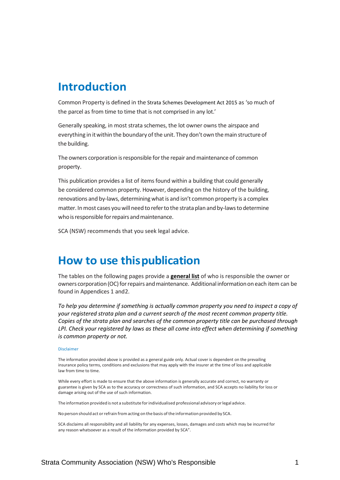### **Introduction**

Common Property is defined in the Strata Schemes Development Act 2015 as 'so much of the parcel as from time to time that is not comprised in any lot.'

Generally speaking, in most strata schemes, the lot owner owns the airspace and everything in it within the boundary of the unit. They don't own the main structure of the building.

The owners corporation is responsible for the repair and maintenance of common property.

This publication provides a list of items found within a building that could generally be considered common property. However, depending on the history of the building, renovations and by-laws, determining what is and isn't common property is a complex matter. Inmost cases youwill need to referto the strataplan and by-lawsto determine who is responsible for repairs and maintenance.

SCA (NSW) recommends that you seek legal advice.

### **How to use thispublication**

The tables on the following pages provide a **general list** of who is responsible the owner or owners corporation (OC) for repairs and maintenance. Additional information on each item can be found in Appendices 1 and2.

*To help you determine if something is actually common property you need to inspect a copy of your registered strata plan and a current search of the most recent common property title. Copies of the strata plan and searches of the common property title can be purchased through LPI. Check your registered by laws as these all come into effect when determining if something is common property or not.*

#### Disclaimer

The information provided above is provided as a general guide only. Actual cover is dependent on the prevailing insurance policy terms, conditions and exclusions that may apply with the insurer at the time of loss and applicable law from time to time.

While every effort is made to ensure that the above information is generally accurate and correct, no warranty or guarantee is given by SCA as to the accuracy or correctness of such information, and SCA accepts no liability for loss or damage arising out of the use of such information.

The information provided is not a substitute forindividualised professional advisory orlegal advice.

No person should act or refrain from acting on the basis of the information provided by SCA.

SCA disclaims all responsibility and all liability for any expenses, losses, damages and costs which may be incurred for any reason whatsoever as a result of the information provided by SCA".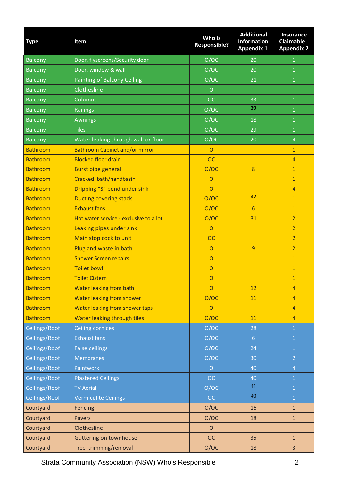| <b>Type</b>     | Item                                   | Who is<br><b>Responsible?</b> | <b>Additional</b><br><b>Information</b><br><b>Appendix 1</b> | <b>Insurance</b><br><b>Claimable</b><br><b>Appendix 2</b> |
|-----------------|----------------------------------------|-------------------------------|--------------------------------------------------------------|-----------------------------------------------------------|
| <b>Balcony</b>  | Door, flyscreens/Security door         | O/OC                          | 20                                                           | $\mathbf{1}$                                              |
| <b>Balcony</b>  | Door, window & wall                    | O/OC                          | 20                                                           | $\mathbf{1}$                                              |
| <b>Balcony</b>  | Painting of Balcony Ceiling            | O/OC                          | 21                                                           | $\mathbf{1}$                                              |
| Balcony         | Clothesline                            | $\circ$                       |                                                              |                                                           |
| <b>Balcony</b>  | Columns                                | <b>OC</b>                     | 33                                                           | $\mathbf{1}$                                              |
| <b>Balcony</b>  | <b>Railings</b>                        | O/OC                          | 39                                                           | $\mathbf{1}$                                              |
| <b>Balcony</b>  | <b>Awnings</b>                         | O/OC                          | 18                                                           | $\overline{1}$                                            |
| <b>Balcony</b>  | <b>Tiles</b>                           | O/OC                          | 29                                                           | $\mathbf{1}$                                              |
| <b>Balcony</b>  | Water leaking through wall or floor    | O/OC                          | 20                                                           | $\overline{4}$                                            |
| <b>Bathroom</b> | <b>Bathroom Cabinet and/or mirror</b>  | $\Omega$                      |                                                              | $\mathbf{1}$                                              |
| <b>Bathroom</b> | <b>Blocked floor drain</b>             | <b>OC</b>                     |                                                              | $\overline{4}$                                            |
| <b>Bathroom</b> | <b>Burst pipe general</b>              | O/OC                          | 8                                                            | $\mathbf{1}$                                              |
| <b>Bathroom</b> | Cracked bath/handbasin                 | $\circ$                       |                                                              | $\mathbf{1}$                                              |
| <b>Bathroom</b> | Dripping "S" bend under sink           | $\overline{O}$                |                                                              | $\overline{4}$                                            |
| <b>Bathroom</b> | <b>Ducting covering stack</b>          | O/OC                          | 42                                                           | $\overline{1}$                                            |
| <b>Bathroom</b> | <b>Exhaust fans</b>                    | O/OC                          | 6                                                            | $\overline{1}$                                            |
| <b>Bathroom</b> | Hot water service - exclusive to a lot | O/OC                          | 31                                                           | $\overline{2}$                                            |
| <b>Bathroom</b> | Leaking pipes under sink               | $\overline{O}$                |                                                              | $\overline{2}$                                            |
| <b>Bathroom</b> | Main stop cock to unit                 | <b>OC</b>                     |                                                              | $\overline{2}$                                            |
| <b>Bathroom</b> | Plug and waste in bath                 | $\circ$                       | $\overline{9}$                                               | $\overline{2}$                                            |
| <b>Bathroom</b> | <b>Shower Screen repairs</b>           | $\circ$                       |                                                              | $\mathbf{1}$                                              |
| <b>Bathroom</b> | <b>Toilet bowl</b>                     | $\overline{O}$                |                                                              | $\mathbf{1}$                                              |
| <b>Bathroom</b> | <b>Toilet Cistern</b>                  | $\circ$                       |                                                              | $\mathbf{1}$                                              |
| <b>Bathroom</b> | <b>Water leaking from bath</b>         | $\circ$                       | 12                                                           | $\overline{4}$                                            |
| <b>Bathroom</b> | <b>Water leaking from shower</b>       | O/OC                          | 11                                                           | $\overline{4}$                                            |
| <b>Bathroom</b> | Water leaking from shower taps         | $\overline{O}$                |                                                              | $\overline{4}$                                            |
| <b>Bathroom</b> | Water leaking through tiles            | O/OC                          | 11                                                           | $\overline{4}$                                            |
| Ceilings/Roof   | <b>Ceiling cornices</b>                | O/OC                          | 28                                                           | $\overline{1}$                                            |
| Ceilings/Roof   | <b>Exhaust fans</b>                    | O/OC                          | $6 \overline{6}$                                             | $\mathbf{1}$                                              |
| Ceilings/Roof   | <b>False ceilings</b>                  | O/OC                          | 24                                                           | $\mathbf{1}$                                              |
| Ceilings/Roof   | <b>Membranes</b>                       | O/OC                          | 30                                                           | $\overline{2}$                                            |
| Ceilings/Roof   | Paintwork                              | $\circ$                       | 40                                                           | $\overline{4}$                                            |
| Ceilings/Roof   | <b>Plastered Ceilings</b>              | <b>OC</b>                     | 40                                                           | $\mathbf{1}$                                              |
| Ceilings/Roof   | <b>TV Aerial</b>                       | O/OC                          | 41                                                           | $\mathbf{1}$                                              |
| Ceilings/Roof   | <b>Vermiculite Ceilings</b>            | OC                            | 40                                                           | $\mathbf{1}$                                              |
| Courtyard       | Fencing                                | O/OC                          | 16                                                           | $\mathbf{1}$                                              |
| Courtyard       | <b>Pavers</b>                          | O/OC                          | 18                                                           | $\mathbf{1}$                                              |
| Courtyard       | Clothesline                            | $\circ$                       |                                                              |                                                           |
| Courtyard       | <b>Guttering on townhouse</b>          | <b>OC</b>                     | 35                                                           | $\mathbf{1}$                                              |
| Courtyard       | Tree trimming/removal                  | O/OC                          | 18                                                           | $\overline{3}$                                            |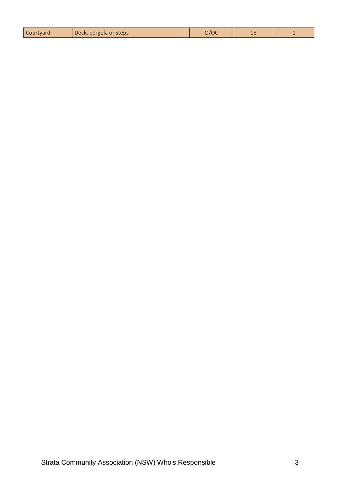| Courtyard | Deck, pergola or steps | າ/OC | $\sim$<br>TС |  |
|-----------|------------------------|------|--------------|--|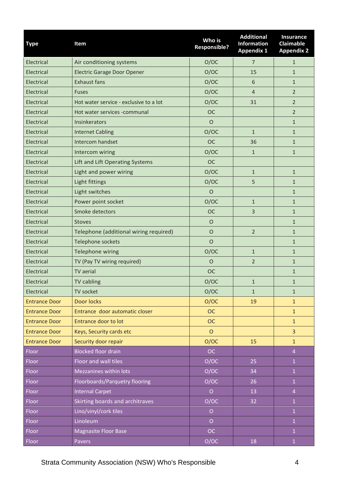| <b>Type</b>          | Item                                   | Who is<br><b>Responsible?</b> | <b>Additional</b><br><b>Information</b><br><b>Appendix 1</b> | <b>Insurance</b><br><b>Claimable</b><br><b>Appendix 2</b> |
|----------------------|----------------------------------------|-------------------------------|--------------------------------------------------------------|-----------------------------------------------------------|
| Electrical           | Air conditioning systems               | O/OC                          | 7                                                            | $\mathbf{1}$                                              |
| Electrical           | <b>Electric Garage Door Opener</b>     | O/OC                          | 15                                                           | $\mathbf{1}$                                              |
| Electrical           | <b>Exhaust fans</b>                    | O/OC                          | 6                                                            | $\mathbf{1}$                                              |
| Electrical           | <b>Fuses</b>                           | O/OC                          | $\overline{4}$                                               | $\overline{2}$                                            |
| Electrical           | Hot water service - exclusive to a lot | O/OC                          | 31                                                           | $\overline{2}$                                            |
| Electrical           | Hot water services -communal           | <b>OC</b>                     |                                                              | $\overline{2}$                                            |
| Electrical           | Insinkerators                          | $\circ$                       |                                                              | $\mathbf{1}$                                              |
| Electrical           | <b>Internet Cabling</b>                | O/OC                          | $\mathbf{1}$                                                 | $\mathbf{1}$                                              |
| Electrical           | Intercom handset                       | <b>OC</b>                     | 36                                                           | $\mathbf{1}$                                              |
| Electrical           | Intercom wiring                        | O/OC                          | $\mathbf{1}$                                                 | $\mathbf{1}$                                              |
| Electrical           | Lift and Lift Operating Systems        | <b>OC</b>                     |                                                              |                                                           |
| Electrical           | Light and power wiring                 | O/OC                          | $\mathbf{1}$                                                 | $\mathbf{1}$                                              |
| Electrical           | Light fittings                         | O/OC                          | 5                                                            | $\mathbf{1}$                                              |
| Electrical           | Light switches                         | $\circ$                       |                                                              | $\mathbf{1}$                                              |
| Electrical           | Power point socket                     | O/OC                          | $\mathbf{1}$                                                 | $\mathbf{1}$                                              |
| Electrical           | Smoke detectors                        | <b>OC</b>                     | 3                                                            | $\mathbf{1}$                                              |
| Electrical           | <b>Stoves</b>                          | $\circ$                       |                                                              | $\mathbf{1}$                                              |
| Electrical           | Telephone (additional wiring required) | $\circ$                       | $\overline{2}$                                               | $\mathbf{1}$                                              |
| Electrical           | Telephone sockets                      | $\circ$                       |                                                              | $\mathbf{1}$                                              |
| Electrical           | Telephone wiring                       | O/OC                          | $\mathbf{1}$                                                 | $\mathbf{1}$                                              |
| Electrical           | TV (Pay TV wiring required)            | O                             | $\overline{2}$                                               | $\mathbf{1}$                                              |
| Electrical           | <b>TV</b> aerial                       | <b>OC</b>                     |                                                              | $\mathbf{1}$                                              |
| Electrical           | <b>TV cabling</b>                      | O/OC                          | $\mathbf{1}$                                                 | $\mathbf{1}$                                              |
| Electrical           | TV socket                              | O/OC                          | $\mathbf{1}$                                                 | $\mathbf{1}$                                              |
| <b>Entrance Door</b> | <b>Door locks</b>                      | O/OC                          | 19                                                           | $\mathbf{1}$                                              |
| <b>Entrance Door</b> | Entrance door automatic closer         | <b>OC</b>                     |                                                              | $\mathbf{1}$                                              |
| <b>Entrance Door</b> | <b>Entrance door to lot</b>            | <b>OC</b>                     |                                                              | $\mathbf{1}$                                              |
| <b>Entrance Door</b> | Keys, Security cards etc               | $\circ$                       |                                                              | 3                                                         |
| <b>Entrance Door</b> | Security door repair                   | O/OC                          | 15                                                           | $\mathbf{1}$                                              |
| Floor                | <b>Blocked floor drain</b>             | <b>OC</b>                     |                                                              | 4                                                         |
| Floor                | Floor and wall tiles                   | O/OC                          | 25                                                           | $\mathbf{1}$                                              |
| Floor                | Mezzanines within lots                 | O/OC                          | 34                                                           | $\overline{1}$                                            |
| Floor                | Floorboards/Parquetry flooring         | O/OC                          | 26                                                           | $\mathbf 1$                                               |
| Floor                | <b>Internal Carpet</b>                 | $\overline{O}$                | 13                                                           | $\overline{4}$                                            |
| Floor                | Skirting boards and architraves        | O/OC                          | 32                                                           | $\overline{1}$                                            |
| Floor                | Lino/vinyl/cork tiles                  | $\overline{O}$                |                                                              | $\overline{1}$                                            |
| Floor                | Linoleum                               | $\overline{O}$                |                                                              | $\mathbf{1}$                                              |
| Floor                | <b>Magnasite Floor Base</b>            | <b>OC</b>                     |                                                              | $\mathbf{1}$                                              |
| Floor                | Pavers                                 | O/OC                          | 18                                                           | $\mathbf{1}$                                              |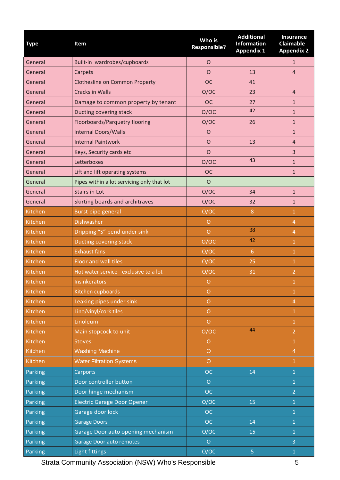| <b>Type</b> | Item                                       | Who is<br><b>Responsible?</b> | <b>Additional</b><br><b>Information</b><br><b>Appendix 1</b> | <b>Insurance</b><br><b>Claimable</b><br><b>Appendix 2</b> |
|-------------|--------------------------------------------|-------------------------------|--------------------------------------------------------------|-----------------------------------------------------------|
| General     | Built-in wardrobes/cupboards               | $\mathsf{O}$                  |                                                              | $\mathbf{1}$                                              |
| General     | Carpets                                    | $\circ$                       | 13                                                           | $\overline{4}$                                            |
| General     | Clothesline on Common Property             | <b>OC</b>                     | 41                                                           |                                                           |
| General     | <b>Cracks in Walls</b>                     | O/OC                          | 23                                                           | $\overline{4}$                                            |
| General     | Damage to common property by tenant        | <b>OC</b>                     | 27                                                           | $\mathbf{1}$                                              |
| General     | Ducting covering stack                     | O/OC                          | 42                                                           | $\mathbf{1}$                                              |
| General     | Floorboards/Parquetry flooring             | O/OC                          | 26                                                           | $\mathbf{1}$                                              |
| General     | <b>Internal Doors/Walls</b>                | $\circ$                       |                                                              | $\mathbf{1}$                                              |
| General     | <b>Internal Paintwork</b>                  | $\Omega$                      | 13                                                           | $\overline{4}$                                            |
| General     | Keys, Security cards etc                   | $\circ$                       |                                                              | $\overline{3}$                                            |
| General     | Letterboxes                                | O/OC                          | 43                                                           | $\mathbf{1}$                                              |
| General     | Lift and lift operating systems            | <b>OC</b>                     |                                                              | $\mathbf{1}$                                              |
| General     | Pipes within a lot servicing only that lot | $\circ$                       |                                                              |                                                           |
| General     | <b>Stairs in Lot</b>                       | O/OC                          | 34                                                           | $\mathbf{1}$                                              |
| General     | Skirting boards and architraves            | O/OC                          | 32                                                           | $\mathbf{1}$                                              |
| Kitchen     | Burst pipe general                         | O/OC                          | $\, 8$                                                       | 1                                                         |
| Kitchen     | <b>Dishwasher</b>                          | $\circ$                       |                                                              | $\overline{4}$                                            |
| Kitchen     | Dripping "S" bend under sink               | $\circ$                       | 38                                                           | $\overline{4}$                                            |
| Kitchen     | Ducting covering stack                     | O/OC                          | 42                                                           | $\mathbf{1}$                                              |
| Kitchen     | <b>Exhaust fans</b>                        | O/OC                          | 6                                                            | $\mathbf{1}$                                              |
| Kitchen     | Floor and wall tiles                       | O/OC                          | 25                                                           | $\mathbf{1}$                                              |
| Kitchen     | Hot water service - exclusive to a lot     | O/OC                          | 31                                                           | $\overline{2}$                                            |
| Kitchen     | <b>Insinkerators</b>                       | $\circ$                       |                                                              | $\mathbf{1}$                                              |
| Kitchen     | Kitchen cupboards                          | $\circ$                       |                                                              | $\mathbf{1}$                                              |
| Kitchen     | Leaking pipes under sink                   | $\circ$                       |                                                              | $\overline{4}$                                            |
| Kitchen     | Lino/vinyl/cork tiles                      | $\overline{O}$                |                                                              | $\mathbf{1}$                                              |
| Kitchen     | Linoleum                                   | $\overline{O}$                |                                                              | $\mathbf{1}$                                              |
| Kitchen     | Main stopcock to unit                      | O/OC                          | 44                                                           | $\overline{2}$                                            |
| Kitchen     | <b>Stoves</b>                              | $\circ$                       |                                                              | $\mathbf{1}$                                              |
| Kitchen     | <b>Washing Machine</b>                     | $\circ$                       |                                                              | $\overline{4}$                                            |
| Kitchen     | <b>Water Filtration Systems</b>            | $\circ$                       |                                                              | $\overline{1}$                                            |
| Parking     | Carports                                   | <b>OC</b>                     | 14                                                           | $\overline{1}$                                            |
| Parking     | Door controller button                     | $\circ$                       |                                                              | $\overline{1}$                                            |
| Parking     | Door hinge mechanism                       | <b>OC</b>                     |                                                              | $\overline{2}$                                            |
| Parking     | <b>Electric Garage Door Opener</b>         | O/OC                          | 15                                                           | $\mathbf{1}$                                              |
| Parking     | Garage door lock                           | OC                            |                                                              | $\mathbf{1}$                                              |
| Parking     | <b>Garage Doors</b>                        | <b>OC</b>                     | 14                                                           | $\mathbf{1}$                                              |
| Parking     | Garage Door auto opening mechanism         | O/OC                          | 15                                                           | $\mathbf{1}$                                              |
| Parking     | Garage Door auto remotes                   | $\circ$                       |                                                              | 3                                                         |
| Parking     | Light fittings                             | O/OC                          | 5                                                            | $\mathbf 1$                                               |

Strata Community Association (NSW) Who's Responsible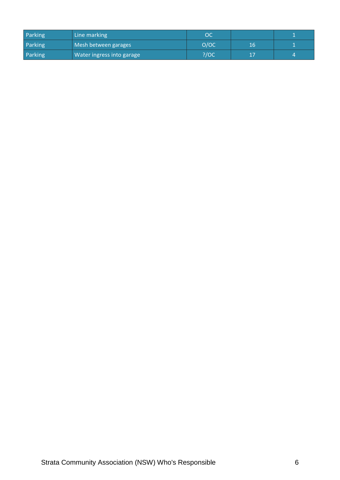| Parking | Line marking              | OC   |    |  |
|---------|---------------------------|------|----|--|
| Parking | Mesh between garages      | O/OC | 16 |  |
| Parking | Water ingress into garage | ?/OC |    |  |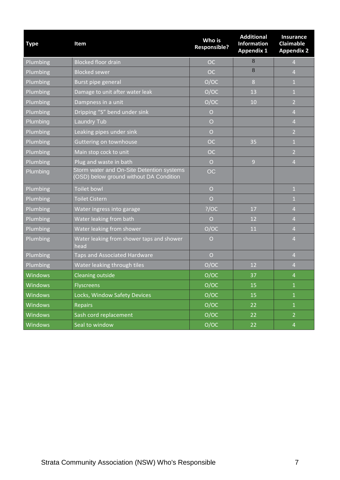| <b>Type</b>     | Item                                                                                 | Who is<br><b>Responsible?</b> | <b>Additional</b><br><b>Information</b><br><b>Appendix 1</b> | <b>Insurance</b><br><b>Claimable</b><br><b>Appendix 2</b> |
|-----------------|--------------------------------------------------------------------------------------|-------------------------------|--------------------------------------------------------------|-----------------------------------------------------------|
| Plumbing        | <b>Blocked floor drain</b>                                                           | <b>OC</b>                     | 8                                                            | $\overline{4}$                                            |
| Plumbing        | <b>Blocked sewer</b>                                                                 | <b>OC</b>                     | 8                                                            | $\overline{4}$                                            |
| Plumbing        | Burst pipe general                                                                   | O/OC                          | 8                                                            | $\mathbf{1}$                                              |
| Plumbing        | Damage to unit after water leak                                                      | O/OC                          | 13                                                           | $\mathbf{1}$                                              |
| Plumbing        | Dampness in a unit                                                                   | O/OC                          | 10                                                           | $\overline{2}$                                            |
| Plumbing        | Dripping "S" bend under sink                                                         | $\overline{O}$                |                                                              | $\overline{4}$                                            |
| Plumbing        | <b>Laundry Tub</b>                                                                   | $\overline{O}$                |                                                              | $\overline{4}$                                            |
| Plumbing        | Leaking pipes under sink                                                             | $\overline{O}$                |                                                              | $\overline{2}$                                            |
| Plumbing        | Guttering on townhouse                                                               | <b>OC</b>                     | 35                                                           | $\mathbf{1}$                                              |
| Plumbing        | Main stop cock to unit                                                               | <b>OC</b>                     |                                                              | $\overline{2}$                                            |
| Plumbing        | Plug and waste in bath                                                               | $\circ$                       | $\overline{9}$                                               | $\overline{4}$                                            |
| Plumbing        | Storm water and On-Site Detention systems<br>(OSD) below ground without DA Condition | OC                            |                                                              |                                                           |
| Plumbing        | <b>Toilet bowl</b>                                                                   | $\overline{O}$                |                                                              | $\mathbf{1}$                                              |
| Plumbing        | <b>Toilet Cistern</b>                                                                | $\overline{O}$                |                                                              | $\mathbf{1}$                                              |
| Plumbing        | Water ingress into garage                                                            | ?/OC                          | 17                                                           | $\overline{4}$                                            |
| Plumbing        | Water leaking from bath                                                              | $\circ$                       | 12                                                           | $\overline{4}$                                            |
| Plumbing        | Water leaking from shower                                                            | O/OC                          | 11                                                           | $\overline{4}$                                            |
| <b>Plumbing</b> | Water leaking from shower taps and shower<br>head                                    | $\circ$                       |                                                              | $\overline{4}$                                            |
| Plumbing        | Taps and Associated Hardware                                                         | $\overline{O}$                |                                                              | $\overline{4}$                                            |
| Plumbing        | Water leaking through tiles                                                          | O/OC                          | 12                                                           | $\overline{4}$                                            |
| Windows         | <b>Cleaning outside</b>                                                              | O/OC                          | 37                                                           | $\overline{4}$                                            |
| Windows         | <b>Flyscreens</b>                                                                    | O/OC                          | 15                                                           | $\mathbf{1}$                                              |
| <b>Windows</b>  | Locks, Window Safety Devices                                                         | O/OC                          | 15                                                           | $\mathbf{1}$                                              |
| <b>Windows</b>  | <b>Repairs</b>                                                                       | O/OC                          | 22                                                           | $\mathbf 1$                                               |
| <b>Windows</b>  | Sash cord replacement                                                                | O/OC                          | 22                                                           | $\overline{2}$                                            |
| <b>Windows</b>  | Seal to window                                                                       | O/OC                          | 22                                                           | $\overline{a}$                                            |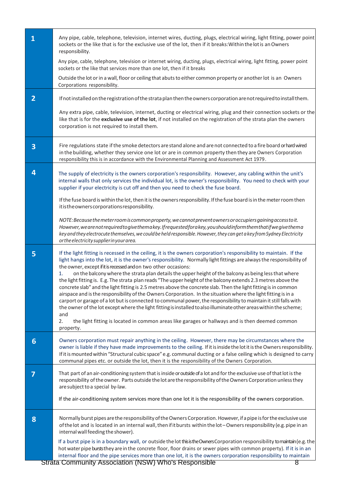| $\mathbf{1}$   | Any pipe, cable, telephone, television, internet wires, ducting, plugs, electrical wiring, light fitting, power point<br>sockets or the like that is for the exclusive use of the lot, then if it breaks: Within the lot is an Owners<br>responsibility.                                                                                                                                                                                                                                                                                                                                                                                                                                                                                                                                                                                                                                                                                                                                                                                                                                                                                                    |
|----------------|-------------------------------------------------------------------------------------------------------------------------------------------------------------------------------------------------------------------------------------------------------------------------------------------------------------------------------------------------------------------------------------------------------------------------------------------------------------------------------------------------------------------------------------------------------------------------------------------------------------------------------------------------------------------------------------------------------------------------------------------------------------------------------------------------------------------------------------------------------------------------------------------------------------------------------------------------------------------------------------------------------------------------------------------------------------------------------------------------------------------------------------------------------------|
|                | Any pipe, cable, telephone, television or internet wiring, ducting, plugs, electrical wiring, light fitting, power point<br>sockets or the like that services more than one lot, then if it breaks                                                                                                                                                                                                                                                                                                                                                                                                                                                                                                                                                                                                                                                                                                                                                                                                                                                                                                                                                          |
|                | Outside the lot or in a wall, floor or ceiling that abuts to either common property or another lot is an Owners<br>Corporations responsibility.                                                                                                                                                                                                                                                                                                                                                                                                                                                                                                                                                                                                                                                                                                                                                                                                                                                                                                                                                                                                             |
| $\overline{2}$ | If not installed on the registration of the strata plan then the owners corporation are not required to install them.                                                                                                                                                                                                                                                                                                                                                                                                                                                                                                                                                                                                                                                                                                                                                                                                                                                                                                                                                                                                                                       |
|                | Any extra pipe, cable, television, internet, ducting or electrical wiring, plug and their connection sockets or the<br>like that is for the exclusive use of the lot, if not installed on the registration of the strata plan the owners<br>corporation is not required to install them.                                                                                                                                                                                                                                                                                                                                                                                                                                                                                                                                                                                                                                                                                                                                                                                                                                                                    |
| 3              | Fire regulations state if the smoke detectors are stand alone and are not connected to a fire board or hard wired<br>in the building, whether they service one lot or are in common property then they are Owners Corporation<br>responsibility this is in accordance with the Environmental Planning and Assessment Act 1979.                                                                                                                                                                                                                                                                                                                                                                                                                                                                                                                                                                                                                                                                                                                                                                                                                              |
| 4              | The supply of electricity is the owners corporation's responsibility. However, any cabling within the unit's<br>internal walls that only services the individual lot, is the owner's responsibility. You need to check with your<br>supplier if your electricity is cut off and then you need to check the fuse board.                                                                                                                                                                                                                                                                                                                                                                                                                                                                                                                                                                                                                                                                                                                                                                                                                                      |
|                | If the fuse board is within the lot, then it is the owners responsibility. If the fuse board is in the meter room then<br>itistheownerscorporations responsibility.                                                                                                                                                                                                                                                                                                                                                                                                                                                                                                                                                                                                                                                                                                                                                                                                                                                                                                                                                                                         |
|                | NOTE: Because the meter room is common property, we cannot prevent owners or occupiers gaining access to it.<br>However, we are not required to give the makey. If requested for a key, you should inform them that if we give the ma<br>key and they electrocute themselves, we could be held responsible. However, they can get a key from Sydney Electricity<br>or the electricity supplier in your area.                                                                                                                                                                                                                                                                                                                                                                                                                                                                                                                                                                                                                                                                                                                                                |
| 5              | If the light fitting is recessed in the ceiling, it is the owners corporation's responsibility to maintain. If the<br>light hangs into the lot, it is the owner's responsibility. Normally light fittings are always the responsibility of<br>the owner, except if it is recessed and on two other occasions:<br>on the balcony where the strata plan details the upper height of the balcony as being less that where<br>1.<br>the light fitting is. E.g. The strata plan reads "The upper height of the balcony extends 2.3 metres above the<br>concrete slab" and the light fitting is 2.5 metres above the concrete slab. Then the light fitting is in common<br>airspace and is the responsibility of the Owners Corporation. In the situation where the light fitting is in a<br>carport or garage of a lot but is connected to communal power, the responsibility to maintain it still falls with<br>the owner of the lot except where the light fitting is installed to also illuminate other areas within the scheme;<br>and<br>2.<br>the light fitting is located in common areas like garages or hallways and is then deemed common<br>property. |
| 6              | Owners corporation must repair anything in the ceiling. However, there may be circumstances where the<br>owner is liable if they have made improvements to the ceiling. If it is inside the lot it is the Owners responsibility.<br>If it is mounted within "Structural cubic space" e.g. communal ducting or a false ceiling which is designed to carry<br>communal pipes etc. or outside the lot, then it is the responsibility of the Owners Corporation.                                                                                                                                                                                                                                                                                                                                                                                                                                                                                                                                                                                                                                                                                                |
| 7              | That part of an air-conditioning system that is inside or outside of a lot and for the exclusive use of that lot is the<br>responsibility of the owner. Parts outside the lot are the responsibility of the Owners Corporation unless they<br>are subject to a special by-law.<br>If the air-conditioning system services more than one lot it is the responsibility of the owners corporation.                                                                                                                                                                                                                                                                                                                                                                                                                                                                                                                                                                                                                                                                                                                                                             |
| 8              | Normally burst pipes are the responsibility of the Owners Corporation. However, if a pipe is for the exclusive use<br>of the lot and is located in an internal wall, then if it bursts within the lot - Owners responsibility (e.g. pipe in an<br>internal wall feeding the shower).                                                                                                                                                                                                                                                                                                                                                                                                                                                                                                                                                                                                                                                                                                                                                                                                                                                                        |
|                | If a burst pipe is in a boundary wall, or outside the lot thisisthe Owners Corporation responsibility to maintain (e.g. the<br>hot water pipe bursts they are in the concrete floor, floor drains or sewer pipes with common property). If it is in an<br>internal floor and the pipe services more than one lot, it is the owners corporation responsibility to maintain<br>Strate Community Association (NSW) Who's Posponsible                                                                                                                                                                                                                                                                                                                                                                                                                                                                                                                                                                                                                                                                                                                           |

 $\overline{\phantom{a}}$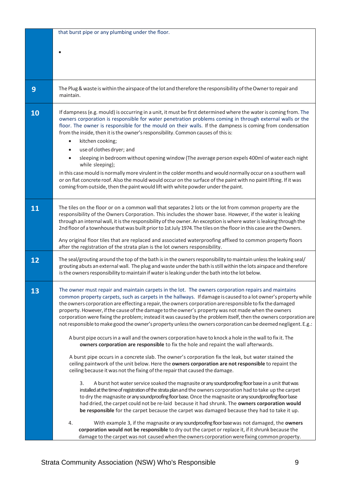|    | that burst pipe or any plumbing under the floor.                                                                                                                                                                                                                                                                                                                                                                                                                                                                                                                                                                                                                              |
|----|-------------------------------------------------------------------------------------------------------------------------------------------------------------------------------------------------------------------------------------------------------------------------------------------------------------------------------------------------------------------------------------------------------------------------------------------------------------------------------------------------------------------------------------------------------------------------------------------------------------------------------------------------------------------------------|
|    |                                                                                                                                                                                                                                                                                                                                                                                                                                                                                                                                                                                                                                                                               |
|    |                                                                                                                                                                                                                                                                                                                                                                                                                                                                                                                                                                                                                                                                               |
|    |                                                                                                                                                                                                                                                                                                                                                                                                                                                                                                                                                                                                                                                                               |
|    |                                                                                                                                                                                                                                                                                                                                                                                                                                                                                                                                                                                                                                                                               |
| 9  | The Plug & waste is within the airspace of the lot and therefore the responsibility of the Owner to repair and<br>maintain.                                                                                                                                                                                                                                                                                                                                                                                                                                                                                                                                                   |
| 10 | If dampness (e.g. mould) is occurring in a unit, it must be first determined where the water is coming from. The<br>owners corporation is responsible for water penetration problems coming in through external walls or the<br>floor. The owner is responsible for the mould on their walls. If the dampness is coming from condensation<br>from the inside, then it is the owner's responsibility. Common causes of this is:<br>kitchen cooking;<br>$\bullet$                                                                                                                                                                                                               |
|    | use of clothes dryer; and<br>$\bullet$                                                                                                                                                                                                                                                                                                                                                                                                                                                                                                                                                                                                                                        |
|    | sleeping in bedroom without opening window (The average person expels 400ml of water each night<br>while sleeping);                                                                                                                                                                                                                                                                                                                                                                                                                                                                                                                                                           |
|    | in this case mould is normally more virulent in the colder months and would normally occur on a southern wall<br>or on flat concrete roof. Also the mould would occur on the surface of the paint with no paint lifting. If it was<br>coming from outside, then the paint would lift with white powder under the paint.                                                                                                                                                                                                                                                                                                                                                       |
| 11 | The tiles on the floor or on a common wall that separates 2 lots or the lot from common property are the<br>responsibility of the Owners Corporation. This includes the shower base. However, if the water is leaking<br>through an internal wall, it is the responsibility of the owner. An exception is where water is leaking through the<br>2nd floor of a townhouse that was built prior to 1st July 1974. The tiles on the floor in this case are the Owners.                                                                                                                                                                                                           |
|    | Any original floor tiles that are replaced and associated waterproofing affixed to common property floors<br>after the registration of the strata plan is the lot owners responsibility.                                                                                                                                                                                                                                                                                                                                                                                                                                                                                      |
| 12 | The seal/grouting around the top of the bath is in the owners responsibility to maintain unless the leaking seal/<br>grouting abuts an external wall. The plug and waste under the bath is still within the lots airspace and therefore<br>is the owners responsibility to maintain if water is leaking under the bath into the lot below.                                                                                                                                                                                                                                                                                                                                    |
| 13 | The owner must repair and maintain carpets in the lot. The owners corporation repairs and maintains<br>common property carpets, such as carpets in the hallways. If damage is caused to a lot owner's property while<br>the owners corporation are effecting a repair, the owners corporation are responsible to fix the damaged<br>property. However, if the cause of the damage to the owner's property was not made when the owners<br>corporation were fixing the problem; instead it was caused by the problem itself, then the owners corporation are<br>not responsible to make good the owner's property unless the owners corporation can be deemed negligent. E.g.: |
|    | A burst pipe occurs in a wall and the owners corporation have to knock a hole in the wall to fix it. The<br>owners corporation are responsible to fix the hole and repaint the wall afterwards.                                                                                                                                                                                                                                                                                                                                                                                                                                                                               |
|    | A burst pipe occurs in a concrete slab. The owner's corporation fix the leak, but water stained the<br>ceiling paintwork of the unit below. Here the owners corporation are not responsible to repaint the<br>ceiling because it was not the fixing of the repair that caused the damage.                                                                                                                                                                                                                                                                                                                                                                                     |
|    | A burst hot water service soaked the magnasite or any soundproofing floor base in a unit that was<br>3.<br>installed at the time of registration of the strata plan and the owners corporation had to take up the carpet<br>to dry the magnasite or any soundproofing floor base. Once the magnasite or any soundproofing floor base<br>had dried, the carpet could not be re-laid because it had shrunk. The owners corporation would<br>be responsible for the carpet because the carpet was damaged because they had to take it up.                                                                                                                                        |
|    | With example 3, if the magnasite or any soundproofing floor base was not damaged, the owners<br>4.<br>corporation would not be responsible to dry out the carpet or replace it, if it shrunk because the<br>damage to the carpet was not caused when the owners corporation were fixing common property.                                                                                                                                                                                                                                                                                                                                                                      |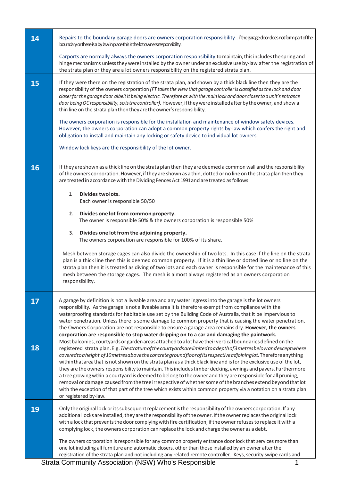| 14 | Repairs to the boundary garage doors are owners corporation responsibility . if the garage door doesnot form part of the<br>boundary or there is a by law in place this is the lot owners responsibility.                                                                                                                                                                                                                                                                                                                                                                                                                                                                                                                                                                                                                                                                                                                                                                  |
|----|----------------------------------------------------------------------------------------------------------------------------------------------------------------------------------------------------------------------------------------------------------------------------------------------------------------------------------------------------------------------------------------------------------------------------------------------------------------------------------------------------------------------------------------------------------------------------------------------------------------------------------------------------------------------------------------------------------------------------------------------------------------------------------------------------------------------------------------------------------------------------------------------------------------------------------------------------------------------------|
|    | Carports are normally always the owners corporation responsibility to maintain, this includes the spring and<br>hinge mechanisms unless they were installed by the owner under an exclusive use by-law after the registration of<br>the strata plan or they are a lot owners responsibility on the registered strata plan.                                                                                                                                                                                                                                                                                                                                                                                                                                                                                                                                                                                                                                                 |
| 15 | If they were there on the registration of the strata plan, and shown by a thick black line then they are the<br>responsibility of the owners corporation (FT takes the view that garage controller is classified as the lock and door<br>closer for the garage door albeit it being electric. Therefore as with the main lock and door closer to a unit's entrance<br>door being OC responsibility, so is the controller). However, if they were installed after by the owner, and show a<br>thin line on the strata plan then they are the owner's responsibility.                                                                                                                                                                                                                                                                                                                                                                                                        |
|    | The owners corporation is responsible for the installation and maintenance of window safety devices.<br>However, the owners corporation can adopt a common property rights by-law which confers the right and<br>obligation to install and maintain any locking or safety device to individual lot owners.                                                                                                                                                                                                                                                                                                                                                                                                                                                                                                                                                                                                                                                                 |
|    | Window lock keys are the responsibility of the lot owner.                                                                                                                                                                                                                                                                                                                                                                                                                                                                                                                                                                                                                                                                                                                                                                                                                                                                                                                  |
| 16 | If they are shown as a thick line on the strata plan then they are deemed a common wall and the responsibility<br>of the owners corporation. However, if they are shown as a thin, dotted or no line on the strata plan then they<br>are treated in accordance with the Dividing Fences Act 1991 and are treated as follows:                                                                                                                                                                                                                                                                                                                                                                                                                                                                                                                                                                                                                                               |
|    | Divides twolots.<br>1.<br>Each owner is responsible 50/50                                                                                                                                                                                                                                                                                                                                                                                                                                                                                                                                                                                                                                                                                                                                                                                                                                                                                                                  |
|    | 2.<br>Divides one lot from common property.<br>The owner is responsible 50% & the owners corporation is responsible 50%                                                                                                                                                                                                                                                                                                                                                                                                                                                                                                                                                                                                                                                                                                                                                                                                                                                    |
|    | 3.<br>Divides one lot from the adjoining property.<br>The owners corporation are responsible for 100% of its share.                                                                                                                                                                                                                                                                                                                                                                                                                                                                                                                                                                                                                                                                                                                                                                                                                                                        |
|    | Mesh between storage cages can also divide the ownership of two lots. In this case if the line on the strata<br>plan is a thick line then this is deemed common property. If it is a thin line or dotted line or no line on the<br>strata plan then it is treated as diving of two lots and each owner is responsible for the maintenance of this<br>mesh between the storage cages. The mesh is almost always registered as an owners corporation<br>responsibility.                                                                                                                                                                                                                                                                                                                                                                                                                                                                                                      |
| 17 | A garage by definition is not a liveable area and any water ingress into the garage is the lot owners<br>responsibility. As the garage is not a liveable area it is therefore exempt from compliance with the<br>waterproofing standards for habitable use set by the Building Code of Australia, that it be impervious to<br>water penetration. Unless there is some damage to common property that is causing the water penetration,<br>the Owners Corporation are not responsible to ensure a garage area remains dry. However, the owners<br>corporation are responsible to stop water dripping on to a car and damaging the paintwork.                                                                                                                                                                                                                                                                                                                                |
| 18 | Most balconies, courtyards or garden areas attached to a lot have their vertical boundaries defined on the<br>registered strata plan. E.g. Thestratumofthe courtyards are limited to a depth of 3 metres below and except where<br>covered to a height of 10 metres above the concrete ground floor of its respective adjoining lot. Therefore anything<br>within that area that is not shown on the strata plan as a thick black line and is for the exclusive use of the lot,<br>they are the owners responsibility to maintain. This includes timber decking, awnings and pavers. Furthermore<br>a tree growing within a courtyard is deemed to belong to the owner and they are responsible for all pruning,<br>removal or damage caused from the tree irrespective of whether some of the branches extend beyond that lot<br>with the exception of that part of the tree which exists within common property via a notation on a strata plan<br>or registered by-law. |
| 19 | Only the original lock or its subsequent replacement is the responsibility of the owners corporation. If any<br>additional locks are installed, they are the responsibility of the owner. If the owner replaces the original lock<br>with a lock that prevents the door complying with fire certification, if the owner refuses to replace it with a<br>complying lock, the owners corporation can replace the lock and charge the owner as a debt.                                                                                                                                                                                                                                                                                                                                                                                                                                                                                                                        |
|    | The owners corporation is responsible for any common property entrance door lock that services more than<br>one lot including all furniture and automatic closers, other than those installed by an owner after the<br>registration of the strata plan and not including any related remote controller. Keys, security swipe cards and                                                                                                                                                                                                                                                                                                                                                                                                                                                                                                                                                                                                                                     |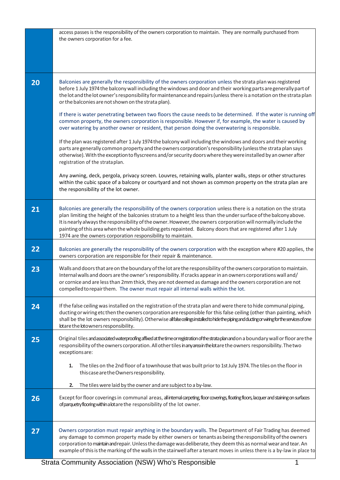|    | access passes is the responsibility of the owners corporation to maintain. They are normally purchased from<br>the owners corporation for a fee.                                                                                                                                                                                                                                                                                                                                                                                  |
|----|-----------------------------------------------------------------------------------------------------------------------------------------------------------------------------------------------------------------------------------------------------------------------------------------------------------------------------------------------------------------------------------------------------------------------------------------------------------------------------------------------------------------------------------|
| 20 | Balconies are generally the responsibility of the owners corporation unless the strata plan was registered<br>before 1 July 1974 the balcony wall including the windows and door and their working parts are generally part of<br>the lot and the lot owner's responsibility for maintenance and repairs (unless there is a notation on the strata plan<br>or the balconies are not shown on the strata plan).                                                                                                                    |
|    | If there is water penetrating between two floors the cause needs to be determined. If the water is running off<br>common property, the owners corporation is responsible. However if, for example, the water is caused by<br>over watering by another owner or resident, that person doing the overwatering is responsible.                                                                                                                                                                                                       |
|    | If the plan was registered after 1 July 1974 the balcony wall including the windows and doors and their working<br>parts are generally common property and the owners corporation's responsibility (unless the strata plan says<br>otherwise). With the exception to flyscreens and/or security doors where they were installed by an owner after<br>registration of the strataplan.                                                                                                                                              |
|    | Any awning, deck, pergola, privacy screen. Louvres, retaining walls, planter walls, steps or other structures<br>within the cubic space of a balcony or courtyard and not shown as common property on the strata plan are<br>the responsibility of the lot owner.                                                                                                                                                                                                                                                                 |
| 21 | Balconies are generally the responsibility of the owners corporation unless there is a notation on the strata<br>plan limiting the height of the balconies stratum to a height less than the under surface of the balcony above.<br>It is nearly always the responsibility of the owner. However, the owners corporation will normally include the<br>painting of this area when the whole building gets repainted. Balcony doors that are registered after 1 July<br>1974 are the owners corporation responsibility to maintain. |
| 22 | Balconies are generally the responsibility of the owners corporation with the exception where #20 applies, the<br>owners corporation are responsible for their repair & maintenance.                                                                                                                                                                                                                                                                                                                                              |
| 23 | Walls and doors that are on the boundary of the lot are the responsibility of the owners corporation to maintain.<br>Internal walls and doors are the owner's responsibility. If cracks appear in an owners corporations wall and/<br>or cornice and are less than 2mm thick, they are not deemed as damage and the owners corporation are not<br>compelled to repair them. The owner must repair all internal walls within the lot.                                                                                              |
| 24 | If the false ceiling was installed on the registration of the strata plan and were there to hide communal piping,<br>ducting or wiring etc then the owners corporation are responsible for this false ceiling (other than painting, which<br>shall be the lot owners responsibility). Otherwise allfalseceilingsinstalled to hide the piping and ducting or wiring for the services of one<br>lotare the loto wners responsibility.                                                                                               |
| 25 | Original tiles and associated waterproofing affixed at the time or registration of the strata plan and on a boundary wall or floor are the<br>responsibility of the owners corporation. All other tiles inanyarea in the lotare the owners responsibility. The two<br>exceptions are:                                                                                                                                                                                                                                             |
|    | 1.<br>The tiles on the 2nd floor of a townhouse that was built prior to 1st July 1974. The tiles on the floor in<br>this case are the Owners responsibility.<br>2.<br>The tiles were laid by the owner and are subject to a by-law.                                                                                                                                                                                                                                                                                               |
| 26 | Except for floor coverings in communal areas, all intemal carpeting, floor coverings, floating floors, lacquer and staining on surfaces<br>of parquetry flooring within a lot are the responsibility of the lot owner.                                                                                                                                                                                                                                                                                                            |
| 27 | Owners corporation must repair anything in the boundary walls. The Department of Fair Trading has deemed<br>any damage to common property made by either owners or tenants as being the responsibility of the owners<br>corporation to maintain and repair. Unless the damage was deliberate, they deem this as normal wear and tear. An<br>example of this is the marking of the walls in the stairwell after a tenant moves in unless there is a by-law in place to                                                             |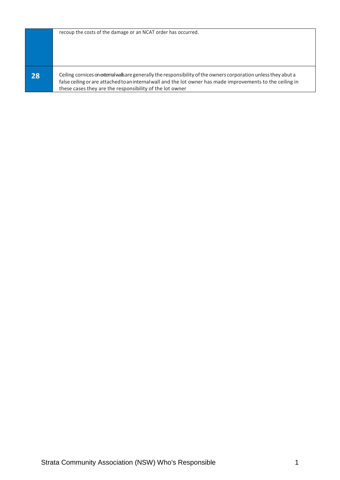|    | recoup the costs of the damage or an NCAT order has occurred.                                                                                                                                                                                                                               |
|----|---------------------------------------------------------------------------------------------------------------------------------------------------------------------------------------------------------------------------------------------------------------------------------------------|
| 28 | Ceiling cornices on external walls are generally the responsibility of the owners corporation unless they abut a<br>false ceiling or are attached to an internal wall and the lot owner has made improvements to the ceiling in<br>these cases they are the responsibility of the lot owner |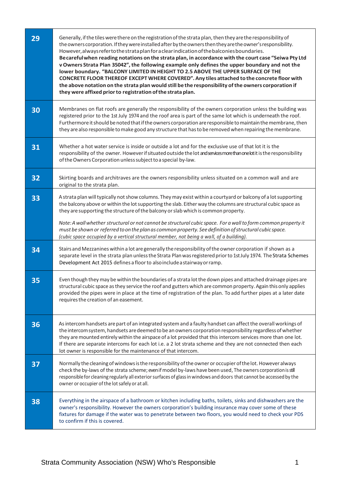| 29 | Generally, if the tiles were there on the registration of the strata plan, then they are the responsibility of<br>the owners corporation. If they were installed after by the owners then they are the owner's responsibility.<br>However, always refer to the strata plan for a clear indication of the balconies boundaries.<br>Becareful when reading notations on the strata plan, in accordance with the court case "Seiwa Pty Ltd<br>v Owners Strata Plan 35042", the following example only defines the upper boundary and not the<br>lower boundary. "BALCONY LIMITED IN HEIGHT TO 2.5 ABOVE THE UPPER SURFACE OF THE<br>CONCRETE FLOOR THEREOF EXCEPT WHERE COVERED". Any tiles attached to the concrete floor with<br>the above notation on the strata plan would still be the responsibility of the owners corporation if<br>they were affixed prior to registration of the strata plan. |
|----|-----------------------------------------------------------------------------------------------------------------------------------------------------------------------------------------------------------------------------------------------------------------------------------------------------------------------------------------------------------------------------------------------------------------------------------------------------------------------------------------------------------------------------------------------------------------------------------------------------------------------------------------------------------------------------------------------------------------------------------------------------------------------------------------------------------------------------------------------------------------------------------------------------|
| 30 | Membranes on flat roofs are generally the responsibility of the owners corporation unless the building was<br>registered prior to the 1st July 1974 and the roof area is part of the same lot which is underneath the roof.<br>Furthermore it should be noted that if the owners corporation are responsible to maintain the membrane, then<br>they are also responsible to make good any structure that has to be removed when repairing the membrane.                                                                                                                                                                                                                                                                                                                                                                                                                                             |
| 31 | Whether a hot water service is inside or outside a lot and for the exclusive use of that lot it is the<br>responsibility of the owner. However if situated outside the lot andservices more than one lotit is the responsibility<br>of the Owners Corporation unless subject to a special by-law.                                                                                                                                                                                                                                                                                                                                                                                                                                                                                                                                                                                                   |
| 32 | Skirting boards and architraves are the owners responsibility unless situated on a common wall and are<br>original to the strata plan.                                                                                                                                                                                                                                                                                                                                                                                                                                                                                                                                                                                                                                                                                                                                                              |
| 33 | A strata plan will typically not show columns. They may exist within a courtyard or balcony of a lot supporting<br>the balcony above or within the lot supporting the slab. Either way the columns are structural cubic space as<br>they are supporting the structure of the balcony or slab which is common property.                                                                                                                                                                                                                                                                                                                                                                                                                                                                                                                                                                              |
|    | Note: A wall whether structural or not cannot be structural cubic space. For a wall to form common property it<br>must be shown or referred to on the plan as common property. See definition of structural cubic space.<br>(cubic space occupied by a vertical structural member, not being a wall, of a building).                                                                                                                                                                                                                                                                                                                                                                                                                                                                                                                                                                                |
| 34 | Stairs and Mezzanines within a lot are generally the responsibility of the owner corporation if shown as a<br>separate level in the strata plan unless the Strata Plan was registered prior to 1st July 1974. The Strata Schemes<br>Development Act 2015 defines a floor to also include a stairway or ramp.                                                                                                                                                                                                                                                                                                                                                                                                                                                                                                                                                                                        |
| 35 | Even though they may be within the boundaries of a strata lot the down pipes and attached drainage pipes are<br>structural cubic space as they service the roof and gutters which are common property. Again this only applies<br>provided the pipes were in place at the time of registration of the plan. To add further pipes at a later date<br>requires the creation of an easement.                                                                                                                                                                                                                                                                                                                                                                                                                                                                                                           |
| 36 | As intercom handsets are part of an integrated system and a faulty handset can affect the overall workings of<br>the intercom system, handsets are deemed to be an owners corporation responsibility regardless of whether<br>they are mounted entirely within the airspace of a lot provided that this intercom services more than one lot.<br>If there are separate intercoms for each lot i.e. a 2 lot strata scheme and they are not connected then each<br>lot owner is responsible for the maintenance of that intercom.                                                                                                                                                                                                                                                                                                                                                                      |
| 37 | Normally the cleaning of windows is the responsibility of the owner or occupier of the lot. However always<br>check the by-laws of the strata scheme; even if model by-laws have been used, The owners corporation is still<br>responsible for cleaning regularly all exterior surfaces of glass in windows and doors that cannot be accessed by the<br>owner or occupier of the lot safely or at all.                                                                                                                                                                                                                                                                                                                                                                                                                                                                                              |
| 38 | Everything in the airspace of a bathroom or kitchen including baths, toilets, sinks and dishwashers are the<br>owner's responsibility. However the owners corporation's building insurance may cover some of these<br>fixtures for damage if the water was to penetrate between two floors, you would need to check your PDS<br>to confirm if this is covered.                                                                                                                                                                                                                                                                                                                                                                                                                                                                                                                                      |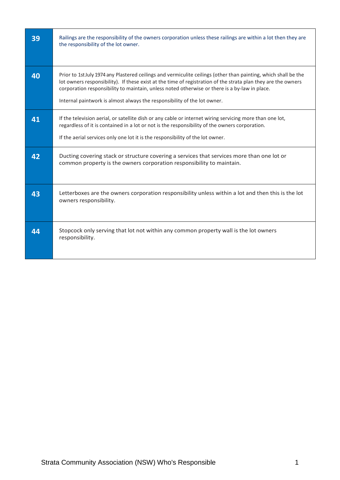| 39 | Railings are the responsibility of the owners corporation unless these railings are within a lot then they are<br>the responsibility of the lot owner.                                                                                                                                                                                                                                                        |
|----|---------------------------------------------------------------------------------------------------------------------------------------------------------------------------------------------------------------------------------------------------------------------------------------------------------------------------------------------------------------------------------------------------------------|
| 40 | Prior to 1st July 1974 any Plastered ceilings and vermiculite ceilings (other than painting, which shall be the<br>lot owners responsibility). If these exist at the time of registration of the strata plan they are the owners<br>corporation responsibility to maintain, unless noted otherwise or there is a by-law in place.<br>Internal paintwork is almost always the responsibility of the lot owner. |
| 41 | If the television aerial, or satellite dish or any cable or internet wiring servicing more than one lot,<br>regardless of it is contained in a lot or not is the responsibility of the owners corporation.<br>If the aerial services only one lot it is the responsibility of the lot owner.                                                                                                                  |
| 42 | Ducting covering stack or structure covering a services that services more than one lot or<br>common property is the owners corporation responsibility to maintain.                                                                                                                                                                                                                                           |
| 43 | Letterboxes are the owners corporation responsibility unless within a lot and then this is the lot<br>owners responsibility.                                                                                                                                                                                                                                                                                  |
| 44 | Stopcock only serving that lot not within any common property wall is the lot owners<br>responsibility.                                                                                                                                                                                                                                                                                                       |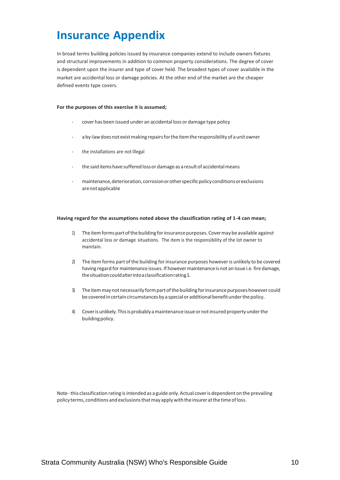### **Insurance Appendix**

In broad terms building policies issued by insurance companies extend to include owners fixtures and structural improvements in addition to common property considerations. The degree of cover is dependent upon the insurer and type of cover held. The broadest types of cover available in the market are accidental loss or damage policies. At the other end of the market are the cheaper defined events type covers.

#### **For the purposes of this exercise it is assumed;**

- cover has been issued under an accidental loss or damage type policy
- a by-law does not exist making repairs for the item the responsibility of a unit owner
- the installations are not illegal
- the said items have suffered loss or damage as a result of accidental means
- maintenance, deterioration, corrosion or other specific policy conditions or exclusions arenotapplicable

#### **Having regard for the assumptions noted above the classification rating of 1-4 can mean;**

- 1) The item forms part of the building for insurance purposes. Cover may be available against accidental loss or damage situations. The item is the responsibility of the lot owner to maintain.
- 2) The item forms part of the building for insurance purposes however is unlikely to be covered having regard for maintenance issues. If however maintenance is not an issue i.e. fire damage, thesituationcouldalterintoaclassificationrating1.
- 3) The item may not necessarily form part of the building for insurance purposes however could be covered in certain circumstances by a special or additional benefit under the policy.
- 4) Cover is unlikely. This is probably a maintenance issue or not insured property under the building policy.

Note-this classification rating isintended as a guide only.Actual coveris dependent on the prevailing policy terms, conditions and exclusions that may apply with the insurer at the time of loss.